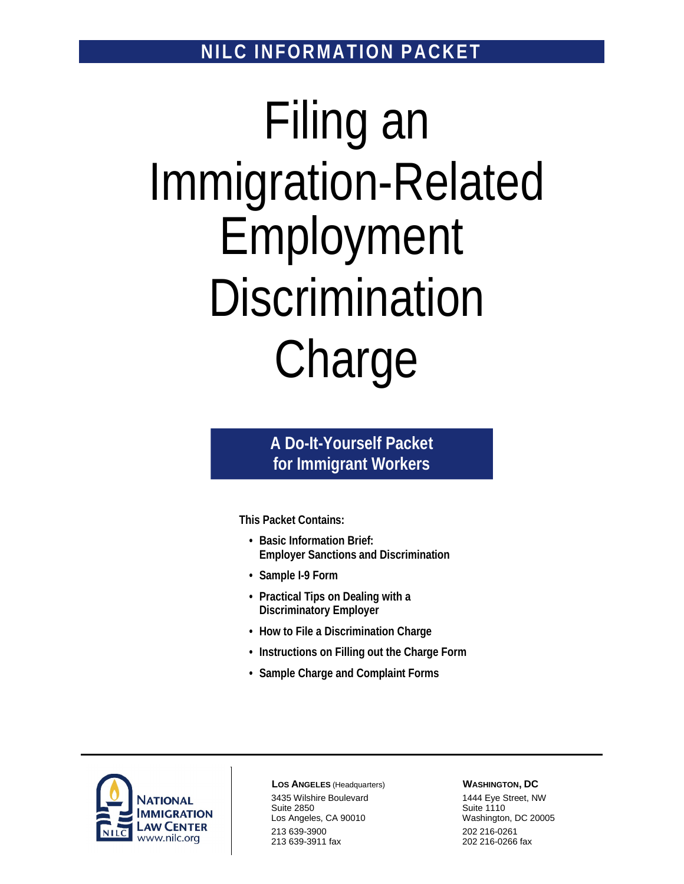**NILC INFORMATION PACKET** 

# Filing an Immigration-Related Employment **Discrimination** Charge

### **A Do-It-Yourself Packet for Immigrant Workers**

**This Packet Contains:** 

- **Basic Information Brief: Employer Sanctions and Discrimination**
- **Sample I-9 Form**
- **Practical Tips on Dealing with a Discriminatory Employer**
- **How to File a Discrimination Charge**
- **Instructions on Filling out the Charge Form**
- **Sample Charge and Complaint Forms**



**LOS ANGELES** (Headquarters) 3435 Wilshire Boulevard Suite 2850 Los Angeles, CA 90010 213 639-3900 213 639-3911 fax

#### **WASHINGTON, DC**

1444 Eye Street, NW Suite 1110 Washington, DC 20005 202 216-0261 202 216-0266 fax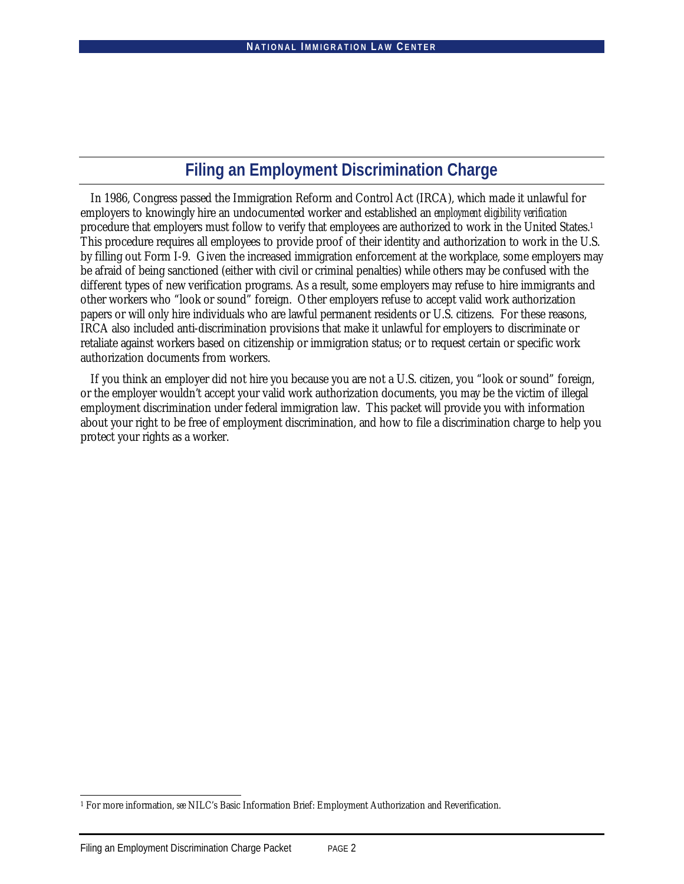### **Filing an Employment Discrimination Charge**

In 1986, Congress passed the Immigration Reform and Control Act (IRCA), which made it unlawful for employers to knowingly hire an undocumented worker and established an *employment eligibility verification* procedure that employers must follow to verify that employees are authorized to work in the United States.1 This procedure requires all employees to provide proof of their identity and authorization to work in the U.S. by filling out Form I-9. Given the increased immigration enforcement at the workplace, some employers may be afraid of being sanctioned (either with civil or criminal penalties) while others may be confused with the different types of new verification programs. As a result, some employers may refuse to hire immigrants and other workers who "look or sound" foreign. Other employers refuse to accept valid work authorization papers or will only hire individuals who are lawful permanent residents or U.S. citizens. For these reasons, IRCA also included anti-discrimination provisions that make it unlawful for employers to discriminate or retaliate against workers based on citizenship or immigration status; or to request certain or specific work authorization documents from workers.

If you think an employer did not hire you because you are not a U.S. citizen, you "look or sound" foreign, or the employer wouldn't accept your valid work authorization documents, you may be the victim of illegal employment discrimination under federal immigration law. This packet will provide you with information about your right to be free of employment discrimination, and how to file a discrimination charge to help you protect your rights as a worker.

l

<sup>1</sup> For more information, *see* NILC's Basic Information Brief: Employment Authorization and Reverification.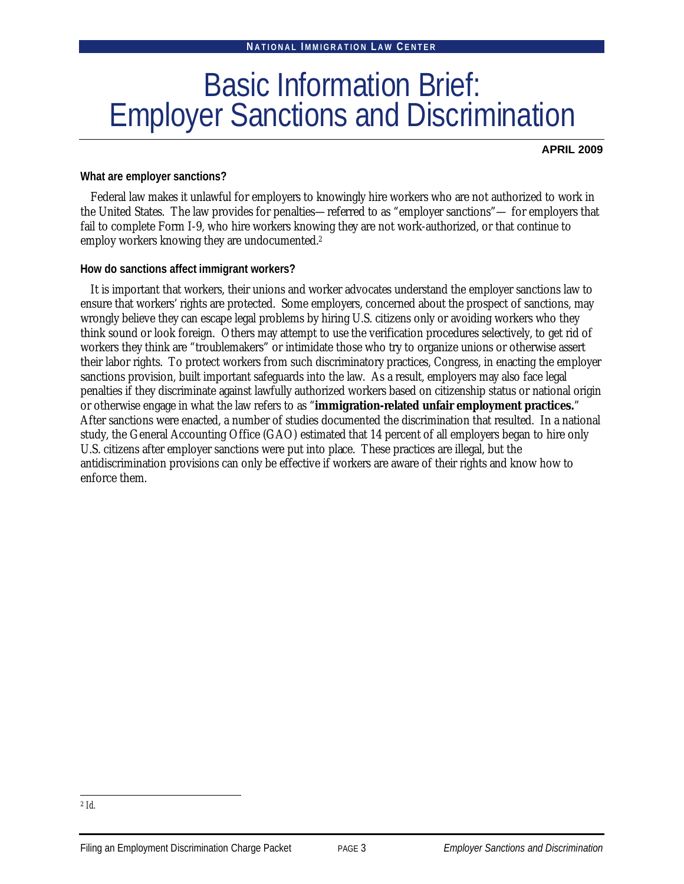# Basic Information Brief: Employer Sanctions and Discrimination

**APRIL 2009**

### **What are employer sanctions?**

Federal law makes it unlawful for employers to knowingly hire workers who are not authorized to work in the United States. The law provides for penalties—referred to as "employer sanctions"— for employers that fail to complete Form I-9, who hire workers knowing they are not work-authorized, or that continue to employ workers knowing they are undocumented.2

**How do sanctions affect immigrant workers?**

It is important that workers, their unions and worker advocates understand the employer sanctions law to ensure that workers' rights are protected. Some employers, concerned about the prospect of sanctions, may wrongly believe they can escape legal problems by hiring U.S. citizens only or avoiding workers who they think sound or look foreign. Others may attempt to use the verification procedures selectively, to get rid of workers they think are "troublemakers" or intimidate those who try to organize unions or otherwise assert their labor rights. To protect workers from such discriminatory practices, Congress, in enacting the employer sanctions provision, built important safeguards into the law. As a result, employers may also face legal penalties if they discriminate against lawfully authorized workers based on citizenship status or national origin or otherwise engage in what the law refers to as "**immigration-related unfair employment practices.**" After sanctions were enacted, a number of studies documented the discrimination that resulted. In a national study, the General Accounting Office (GAO) estimated that 14 percent of all employers began to hire only U.S. citizens after employer sanctions were put into place. These practices are illegal, but the antidiscrimination provisions can only be effective if workers are aware of their rights and know how to enforce them.

l <sup>2</sup> *Id*.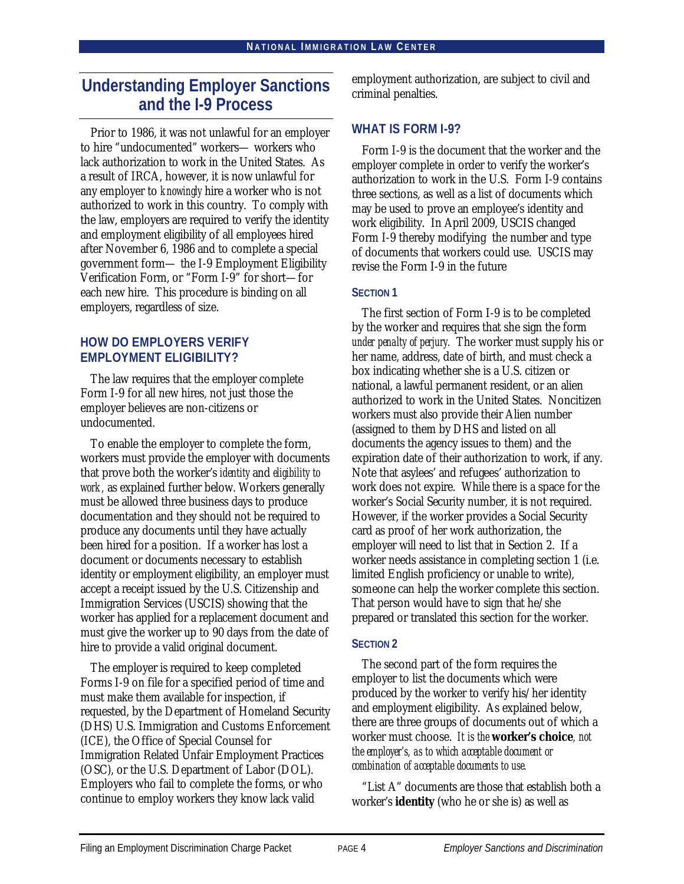### **Understanding Employer Sanctions and the I-9 Process**

Prior to 1986, it was not unlawful for an employer to hire "undocumented" workers— workers who lack authorization to work in the United States. As a result of IRCA, however, it is now unlawful for any employer to *knowingly* hire a worker who is not authorized to work in this country. To comply with the law, employers are required to verify the identity and employment eligibility of all employees hired after November 6, 1986 and to complete a special government form— the I-9 Employment Eligibility Verification Form, or "Form I-9" for short—for each new hire. This procedure is binding on all employers, regardless of size.

### **HOW DO EMPLOYERS VERIFY EMPLOYMENT ELIGIBILITY?**

The law requires that the employer complete Form I-9 for all new hires, not just those the employer believes are non-citizens or undocumented.

To enable the employer to complete the form, workers must provide the employer with documents that prove both the worker's *identity* and *eligibility to work,* as explained further below. Workers generally must be allowed three business days to produce documentation and they should not be required to produce any documents until they have actually been hired for a position. If a worker has lost a document or documents necessary to establish identity or employment eligibility, an employer must accept a receipt issued by the U.S. Citizenship and Immigration Services (USCIS) showing that the worker has applied for a replacement document and must give the worker up to 90 days from the date of hire to provide a valid original document.

The employer is required to keep completed Forms I-9 on file for a specified period of time and must make them available for inspection, if requested, by the Department of Homeland Security (DHS) U.S. Immigration and Customs Enforcement (ICE), the Office of Special Counsel for Immigration Related Unfair Employment Practices (OSC), or the U.S. Department of Labor (DOL). Employers who fail to complete the forms, or who continue to employ workers they know lack valid

employment authorization, are subject to civil and criminal penalties.

### **WHAT IS FORM I-9?**

Form I-9 is the document that the worker and the employer complete in order to verify the worker's authorization to work in the U.S. Form I-9 contains three sections, as well as a list of documents which may be used to prove an employee's identity and work eligibility. In April 2009, USCIS changed Form I-9 thereby modifying the number and type of documents that workers could use. USCIS may revise the Form I-9 in the future

### **SECTION 1**

The first section of Form I-9 is to be completed by the worker and requires that she sign the form *under penalty of perjury.* The worker must supply his or her name, address, date of birth, and must check a box indicating whether she is a U.S. citizen or national, a lawful permanent resident, or an alien authorized to work in the United States. Noncitizen workers must also provide their Alien number (assigned to them by DHS and listed on all documents the agency issues to them) and the expiration date of their authorization to work, if any. Note that asylees' and refugees' authorization to work does not expire. While there is a space for the worker's Social Security number, it is not required. However, if the worker provides a Social Security card as proof of her work authorization, the employer will need to list that in Section 2. If a worker needs assistance in completing section 1 (i.e. limited English proficiency or unable to write), someone can help the worker complete this section. That person would have to sign that he/she prepared or translated this section for the worker.

### **SECTION 2**

The second part of the form requires the employer to list the documents which were produced by the worker to verify his/her identity and employment eligibility. As explained below, there are three groups of documents out of which a worker must choose. *It is the* **worker's choice***, not the employer's, as to which acceptable document or combination of acceptable documents to use.*

"List A" documents are those that establish both a worker's **identity** (who he or she is) as well as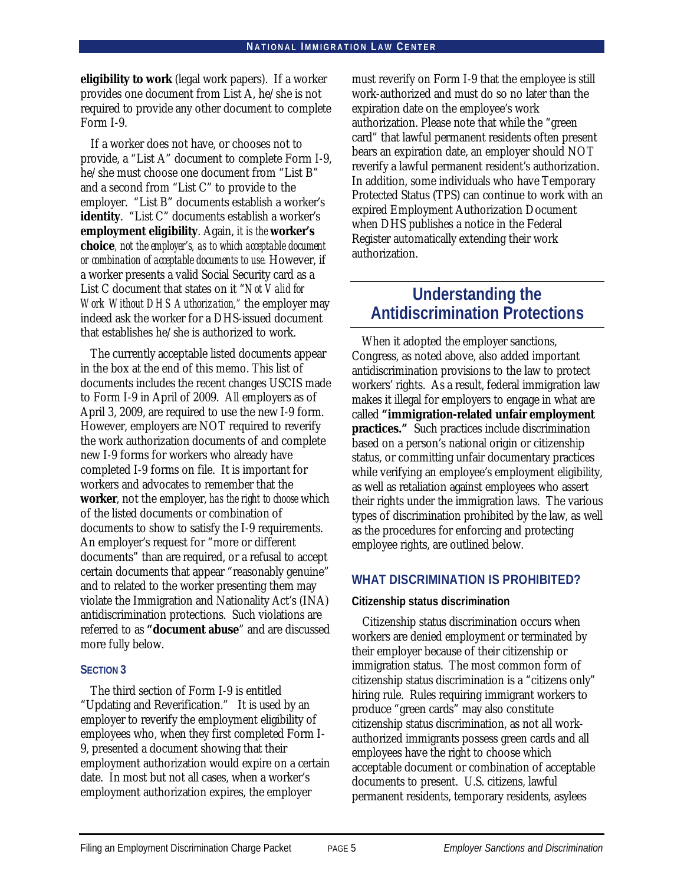**eligibility to work** (legal work papers). If a worker provides one document from List A, he/she is not required to provide any other document to complete Form I-9.

If a worker does not have, or chooses not to provide, a "List A" document to complete Form I-9, he/she must choose one document from "List B" and a second from "List C" to provide to the employer. "List B" documents establish a worker's **identity**. "List C" documents establish a worker's **employment eligibility**. Again, *it is the* **worker's choice***, not the employer's, as to which acceptable document or combination of acceptable documents to use.* However, if a worker presents a valid Social Security card as a List C document that states on it "*Not Valid for Work Without DHS Authorization,"* the employer may indeed ask the worker for a DHS-issued document that establishes he/she is authorized to work.

The currently acceptable listed documents appear in the box at the end of this memo. This list of documents includes the recent changes USCIS made to Form I-9 in April of 2009. All employers as of April 3, 2009, are required to use the new I-9 form. However, employers are NOT required to reverify the work authorization documents of and complete new I-9 forms for workers who already have completed I-9 forms on file. It is important for workers and advocates to remember that the **worker**, not the employer, *has the right to choose* which of the listed documents or combination of documents to show to satisfy the I-9 requirements. An employer's request for "more or different documents" than are required, or a refusal to accept certain documents that appear "reasonably genuine" and to related to the worker presenting them may violate the Immigration and Nationality Act's (INA) antidiscrimination protections. Such violations are referred to as **"document abuse**" and are discussed more fully below.

### **SECTION 3**

The third section of Form I-9 is entitled "Updating and Reverification." It is used by an employer to reverify the employment eligibility of employees who, when they first completed Form I-9, presented a document showing that their employment authorization would expire on a certain date. In most but not all cases, when a worker's employment authorization expires, the employer

must reverify on Form I-9 that the employee is still work-authorized and must do so no later than the expiration date on the employee's work authorization. Please note that while the "green card" that lawful permanent residents often present bears an expiration date, an employer should NOT reverify a lawful permanent resident's authorization. In addition, some individuals who have Temporary Protected Status (TPS) can continue to work with an expired Employment Authorization Document when DHS publishes a notice in the Federal Register automatically extending their work authorization.

### **Understanding the Antidiscrimination Protections**

When it adopted the employer sanctions, Congress, as noted above, also added important antidiscrimination provisions to the law to protect workers' rights. As a result, federal immigration law makes it illegal for employers to engage in what are called **"immigration-related unfair employment practices."** Such practices include discrimination based on a person's national origin or citizenship status, or committing unfair documentary practices while verifying an employee's employment eligibility, as well as retaliation against employees who assert their rights under the immigration laws. The various types of discrimination prohibited by the law, as well as the procedures for enforcing and protecting employee rights, are outlined below.

### **WHAT DISCRIMINATION IS PROHIBITED?**

### **Citizenship status discrimination**

Citizenship status discrimination occurs when workers are denied employment or terminated by their employer because of their citizenship or immigration status. The most common form of citizenship status discrimination is a "citizens only" hiring rule. Rules requiring immigrant workers to produce "green cards" may also constitute citizenship status discrimination, as not all workauthorized immigrants possess green cards and all employees have the right to choose which acceptable document or combination of acceptable documents to present. U.S. citizens, lawful permanent residents, temporary residents, asylees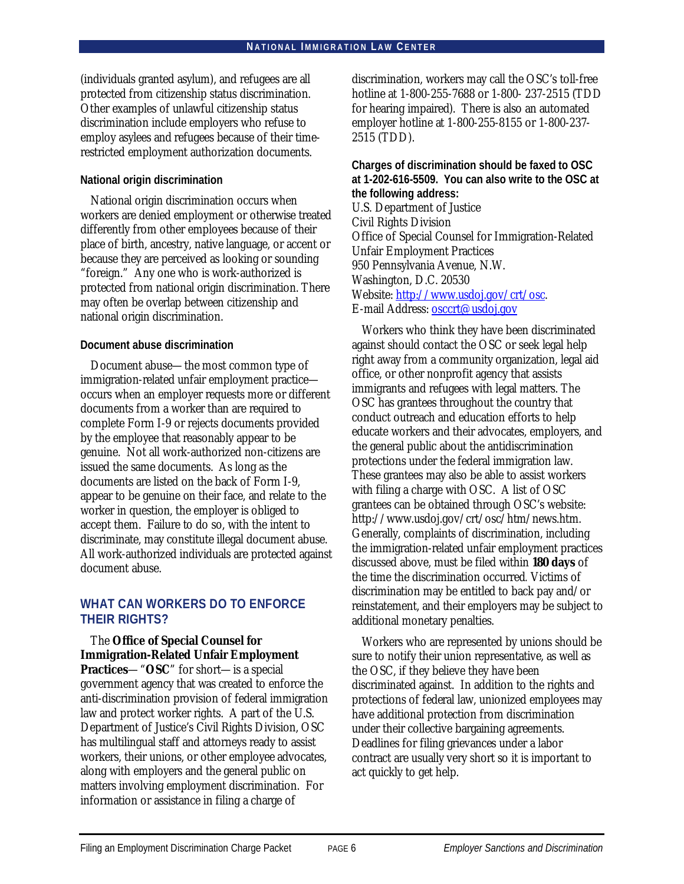(individuals granted asylum), and refugees are all protected from citizenship status discrimination. Other examples of unlawful citizenship status discrimination include employers who refuse to employ asylees and refugees because of their timerestricted employment authorization documents.

### **National origin discrimination**

National origin discrimination occurs when workers are denied employment or otherwise treated differently from other employees because of their place of birth, ancestry, native language, or accent or because they are perceived as looking or sounding "foreign." Any one who is work-authorized is protected from national origin discrimination. There may often be overlap between citizenship and national origin discrimination.

### **Document abuse discrimination**

Document abuse—the most common type of immigration-related unfair employment practice occurs when an employer requests more or different documents from a worker than are required to complete Form I-9 or rejects documents provided by the employee that reasonably appear to be genuine. Not all work-authorized non-citizens are issued the same documents. As long as the documents are listed on the back of Form I-9, appear to be genuine on their face, and relate to the worker in question, the employer is obliged to accept them. Failure to do so, with the intent to discriminate, may constitute illegal document abuse. All work-authorized individuals are protected against document abuse.

### **WHAT CAN WORKERS DO TO ENFORCE THEIR RIGHTS?**

The **Office of Special Counsel for Immigration-Related Unfair Employment Practices**—"**OSC**" for short—is a special government agency that was created to enforce the anti-discrimination provision of federal immigration law and protect worker rights. A part of the U.S. Department of Justice's Civil Rights Division, OSC has multilingual staff and attorneys ready to assist workers, their unions, or other employee advocates, along with employers and the general public on matters involving employment discrimination. For information or assistance in filing a charge of

discrimination, workers may call the OSC's toll-free hotline at 1-800-255-7688 or 1-800- 237-2515 (TDD for hearing impaired). There is also an automated employer hotline at 1-800-255-8155 or 1-800-237- 2515 (TDD).

**Charges of discrimination should be faxed to OSC at 1-202-616-5509. You can also write to the OSC at the following address:** U.S. Department of Justice Civil Rights Division Office of Special Counsel for Immigration-Related Unfair Employment Practices 950 Pennsylvania Avenue, N.W. Washington, D.C. 20530 Website: http://www.usdoj.gov/crt/osc. E-mail Address: osccrt@usdoj.gov

Workers who think they have been discriminated against should contact the OSC or seek legal help right away from a community organization, legal aid office, or other nonprofit agency that assists immigrants and refugees with legal matters. The OSC has grantees throughout the country that conduct outreach and education efforts to help educate workers and their advocates, employers, and the general public about the antidiscrimination protections under the federal immigration law. These grantees may also be able to assist workers with filing a charge with OSC. A list of OSC grantees can be obtained through OSC's website: http://www.usdoj.gov/crt/osc/htm/news.htm. Generally, complaints of discrimination, including the immigration-related unfair employment practices discussed above, must be filed within **180 days** of the time the discrimination occurred*.* Victims of discrimination may be entitled to back pay and/or reinstatement, and their employers may be subject to additional monetary penalties.

Workers who are represented by unions should be sure to notify their union representative, as well as the OSC, if they believe they have been discriminated against. In addition to the rights and protections of federal law, unionized employees may have additional protection from discrimination under their collective bargaining agreements. Deadlines for filing grievances under a labor contract are usually very short so it is important to act quickly to get help.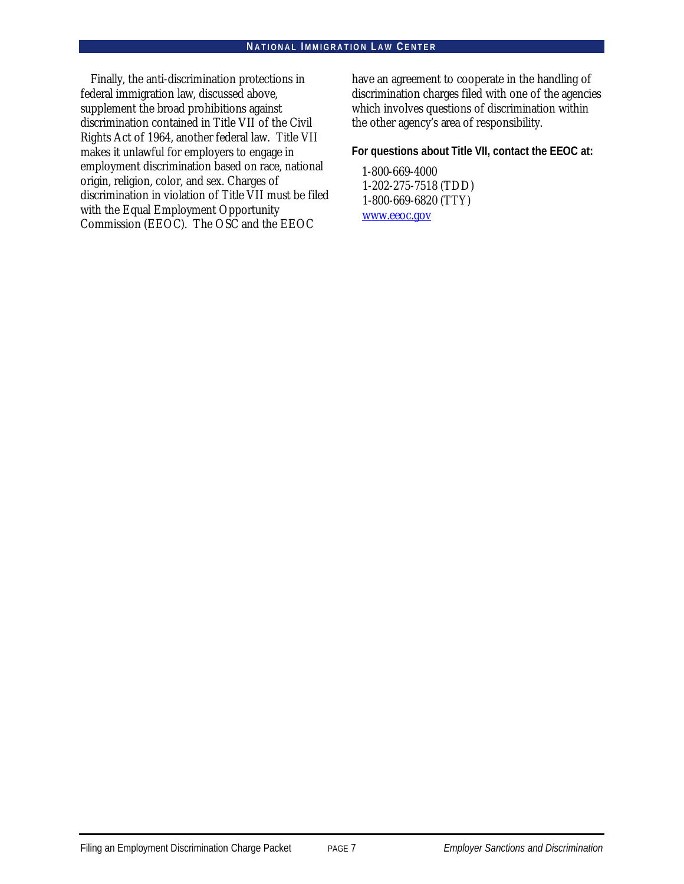Finally, the anti-discrimination protections in federal immigration law, discussed above, supplement the broad prohibitions against discrimination contained in Title VII of the Civil Rights Act of 1964, another federal law. Title VII makes it unlawful for employers to engage in employment discrimination based on race, national origin, religion, color, and sex. Charges of discrimination in violation of Title VII must be filed with the Equal Employment Opportunity Commission (EEOC). The OSC and the EEOC

have an agreement to cooperate in the handling of discrimination charges filed with one of the agencies which involves questions of discrimination within the other agency's area of responsibility.

**For questions about Title VII, contact the EEOC at:**

1-800-669-4000 1-202-275-7518 (TDD) 1-800-669-6820 (TTY) www.eeoc.gov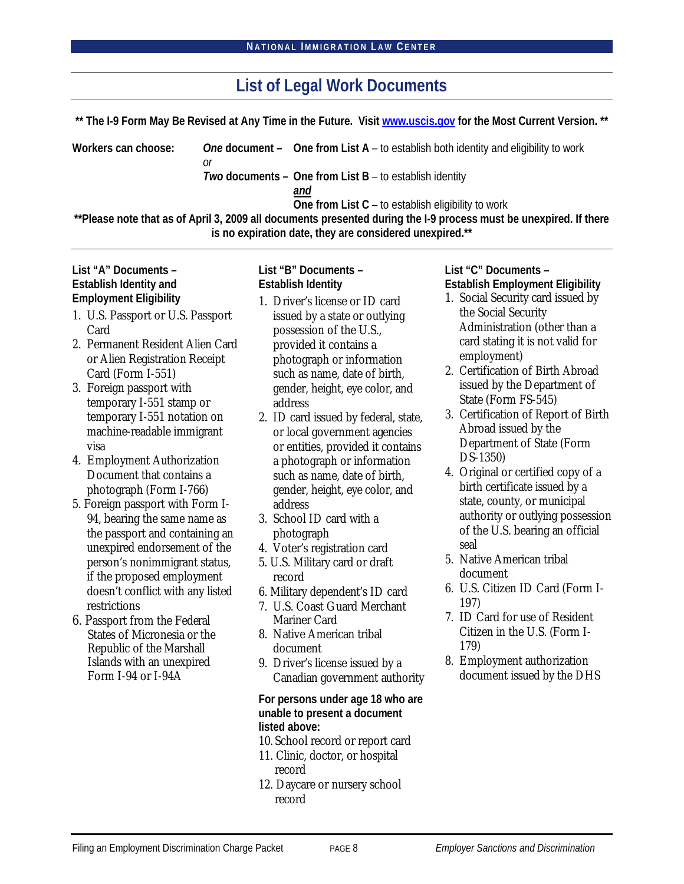| List of Legal Work Documents |    |                                                                                                                   |
|------------------------------|----|-------------------------------------------------------------------------------------------------------------------|
|                              |    | ** The I-9 Form May Be Revised at Any Time in the Future. Visit www.uscis.gov for the Most Current Version. **    |
| Workers can choose:          | or | One document $-$ One from List A $-$ to establish both identity and eligibility to work                           |
|                              |    | Two documents - One from List B - to establish identity                                                           |
|                              |    | and                                                                                                               |
|                              |    | One from List C – to establish eligibility to work                                                                |
|                              |    | **Please note that as of April 3, 2009 all documents presented during the I-9 process must be unexpired. If there |
|                              |    | is no expiration date, they are considered unexpired.**                                                           |

**List "A" Documents – Establish Identity and Employment Eligibility**

- 1. U.S. Passport or U.S. Passport Card
- 2. Permanent Resident Alien Card or Alien Registration Receipt Card (Form I-551)
- 3. Foreign passport with temporary I-551 stamp or temporary I-551 notation on machine-readable immigrant visa
- 4. Employment Authorization Document that contains a photograph (Form I-766)
- 5. Foreign passport with Form I-94, bearing the same name as the passport and containing an unexpired endorsement of the person's nonimmigrant status, if the proposed employment doesn't conflict with any listed restrictions
- 6. Passport from the Federal States of Micronesia or the Republic of the Marshall Islands with an unexpired Form I-94 or I-94A

**List "B" Documents – Establish Identity**

- 1. Driver's license or ID card issued by a state or outlying possession of the U.S., provided it contains a photograph or information such as name, date of birth, gender, height, eye color, and address
- 2. ID card issued by federal, state, or local government agencies or entities, provided it contains a photograph or information such as name, date of birth, gender, height, eye color, and address
- 3. School ID card with a photograph
- 4. Voter's registration card
- 5. U.S. Military card or draft record
- 6. Military dependent's ID card
- 7. U.S. Coast Guard Merchant Mariner Card
- 8. Native American tribal document
- 9. Driver's license issued by a Canadian government authority

**For persons under age 18 who are unable to present a document listed above:**

- 10. School record or report card
- 11. Clinic, doctor, or hospital record
- 12. Daycare or nursery school record

**List "C" Documents – Establish Employment Eligibility**

- 1. Social Security card issued by the Social Security Administration (other than a card stating it is not valid for employment)
- 2. Certification of Birth Abroad issued by the Department of State (Form FS-545)
- 3. Certification of Report of Birth Abroad issued by the Department of State (Form DS-1350)
- 4. Original or certified copy of a birth certificate issued by a state, county, or municipal authority or outlying possession of the U.S. bearing an official seal
- 5. Native American tribal document
- 6. U.S. Citizen ID Card (Form I-197)
- 7. ID Card for use of Resident Citizen in the U.S. (Form I-179)
- 8. Employment authorization document issued by the DHS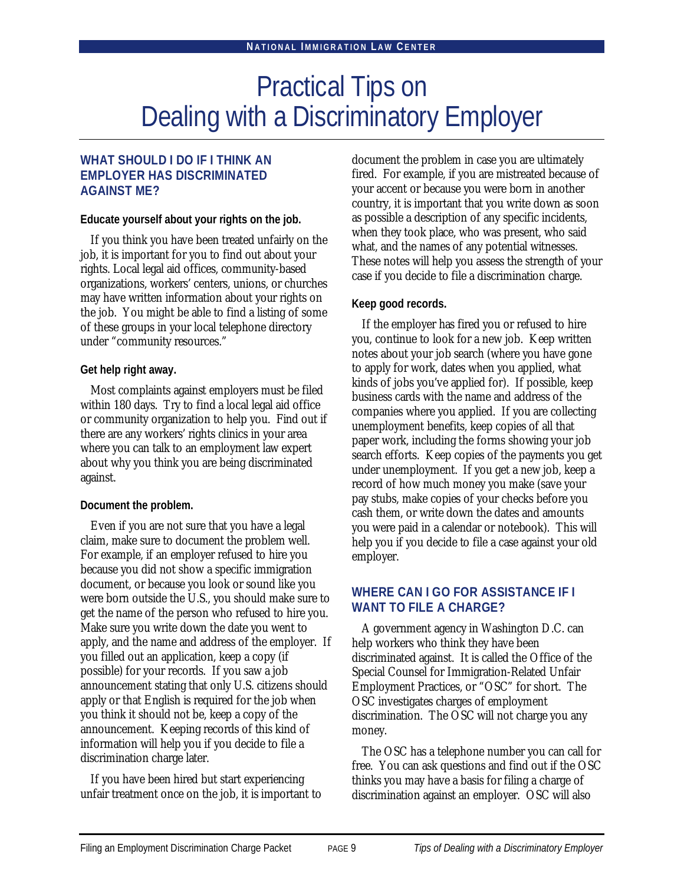# Practical Tips on Dealing with a Discriminatory Employer

### **WHAT SHOULD I DO IF I THINK AN EMPLOYER HAS DISCRIMINATED AGAINST ME?**

**Educate yourself about your rights on the job.**

If you think you have been treated unfairly on the job, it is important for you to find out about your rights. Local legal aid offices, community-based organizations, workers' centers, unions, or churches may have written information about your rights on the job. You might be able to find a listing of some of these groups in your local telephone directory under "community resources."

### **Get help right away.**

Most complaints against employers must be filed within 180 days. Try to find a local legal aid office or community organization to help you. Find out if there are any workers' rights clinics in your area where you can talk to an employment law expert about why you think you are being discriminated against.

### **Document the problem.**

Even if you are not sure that you have a legal claim, make sure to document the problem well. For example, if an employer refused to hire you because you did not show a specific immigration document, or because you look or sound like you were born outside the U.S., you should make sure to get the name of the person who refused to hire you. Make sure you write down the date you went to apply, and the name and address of the employer. If you filled out an application, keep a copy (if possible) for your records. If you saw a job announcement stating that only U.S. citizens should apply or that English is required for the job when you think it should not be, keep a copy of the announcement. Keeping records of this kind of information will help you if you decide to file a discrimination charge later.

If you have been hired but start experiencing unfair treatment once on the job, it is important to document the problem in case you are ultimately fired. For example, if you are mistreated because of your accent or because you were born in another country, it is important that you write down as soon as possible a description of any specific incidents, when they took place, who was present, who said what, and the names of any potential witnesses. These notes will help you assess the strength of your case if you decide to file a discrimination charge.

### **Keep good records.**

If the employer has fired you or refused to hire you, continue to look for a new job. Keep written notes about your job search (where you have gone to apply for work, dates when you applied, what kinds of jobs you've applied for). If possible, keep business cards with the name and address of the companies where you applied. If you are collecting unemployment benefits, keep copies of all that paper work, including the forms showing your job search efforts. Keep copies of the payments you get under unemployment. If you get a new job, keep a record of how much money you make (save your pay stubs, make copies of your checks before you cash them, or write down the dates and amounts you were paid in a calendar or notebook). This will help you if you decide to file a case against your old employer.

### **WHERE CAN I GO FOR ASSISTANCE IF I WANT TO FILE A CHARGE?**

A government agency in Washington D.C. can help workers who think they have been discriminated against. It is called the Office of the Special Counsel for Immigration-Related Unfair Employment Practices, or "OSC" for short. The OSC investigates charges of employment discrimination. The OSC will not charge you any money.

The OSC has a telephone number you can call for free. You can ask questions and find out if the OSC thinks you may have a basis for filing a charge of discrimination against an employer. OSC will also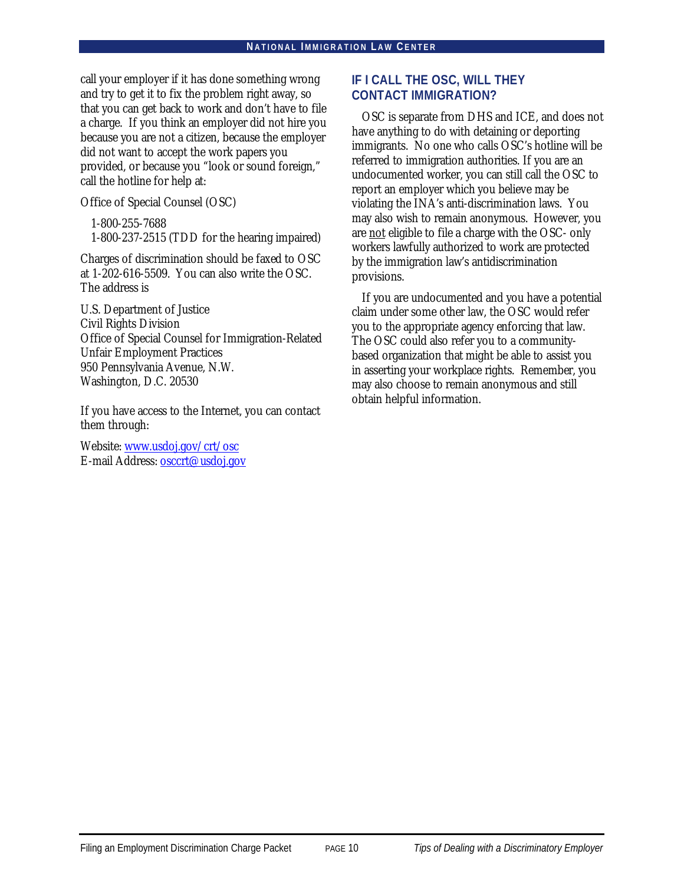call your employer if it has done something wrong and try to get it to fix the problem right away, so that you can get back to work and don't have to file a charge. If you think an employer did not hire you because you are not a citizen, because the employer did not want to accept the work papers you provided, or because you "look or sound foreign," call the hotline for help at:

Office of Special Counsel (OSC)

1-800-255-7688 1-800-237-2515 (TDD for the hearing impaired)

Charges of discrimination should be faxed to OSC at 1-202-616-5509. You can also write the OSC. The address is

U.S. Department of Justice Civil Rights Division Office of Special Counsel for Immigration-Related Unfair Employment Practices 950 Pennsylvania Avenue, N.W. Washington, D.C. 20530

If you have access to the Internet, you can contact them through:

Website: www.usdoj.gov/crt/osc E-mail Address: osccrt@usdoj.gov

### **IF I CALL THE OSC, WILL THEY CONTACT IMMIGRATION?**

OSC is separate from DHS and ICE, and does not have anything to do with detaining or deporting immigrants. No one who calls OSC's hotline will be referred to immigration authorities. If you are an undocumented worker, you can still call the OSC to report an employer which you believe may be violating the INA's anti-discrimination laws. You may also wish to remain anonymous. However, you are not eligible to file a charge with the OSC- only workers lawfully authorized to work are protected by the immigration law's antidiscrimination provisions.

If you are undocumented and you have a potential claim under some other law, the OSC would refer you to the appropriate agency enforcing that law. The OSC could also refer you to a communitybased organization that might be able to assist you in asserting your workplace rights. Remember, you may also choose to remain anonymous and still obtain helpful information.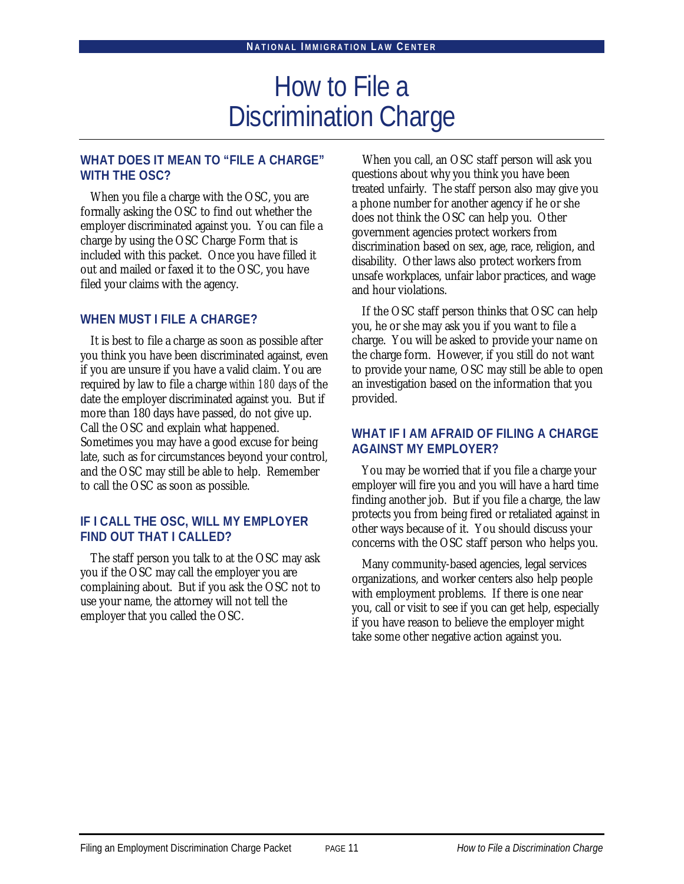# How to File a Discrimination Charge

### **WHAT DOES IT MEAN TO "FILE A CHARGE" WITH THE OSC?**

When you file a charge with the OSC, you are formally asking the OSC to find out whether the employer discriminated against you. You can file a charge by using the OSC Charge Form that is included with this packet. Once you have filled it out and mailed or faxed it to the OSC, you have filed your claims with the agency.

### **WHEN MUST I FILE A CHARGE?**

It is best to file a charge as soon as possible after you think you have been discriminated against, even if you are unsure if you have a valid claim. You are required by law to file a charge *within 180 days* of the date the employer discriminated against you. But if more than 180 days have passed, do not give up. Call the OSC and explain what happened. Sometimes you may have a good excuse for being late, such as for circumstances beyond your control, and the OSC may still be able to help. Remember to call the OSC as soon as possible.

### **IF I CALL THE OSC, WILL MY EMPLOYER FIND OUT THAT I CALLED?**

The staff person you talk to at the OSC may ask you if the OSC may call the employer you are complaining about. But if you ask the OSC not to use your name, the attorney will not tell the employer that you called the OSC.

When you call, an OSC staff person will ask you questions about why you think you have been treated unfairly. The staff person also may give you a phone number for another agency if he or she does not think the OSC can help you. Other government agencies protect workers from discrimination based on sex, age, race, religion, and disability. Other laws also protect workers from unsafe workplaces, unfair labor practices, and wage and hour violations.

If the OSC staff person thinks that OSC can help you, he or she may ask you if you want to file a charge. You will be asked to provide your name on the charge form. However, if you still do not want to provide your name, OSC may still be able to open an investigation based on the information that you provided.

### **WHAT IF I AM AFRAID OF FILING A CHARGE AGAINST MY EMPLOYER?**

You may be worried that if you file a charge your employer will fire you and you will have a hard time finding another job. But if you file a charge, the law protects you from being fired or retaliated against in other ways because of it. You should discuss your concerns with the OSC staff person who helps you.

Many community-based agencies, legal services organizations, and worker centers also help people with employment problems. If there is one near you, call or visit to see if you can get help, especially if you have reason to believe the employer might take some other negative action against you.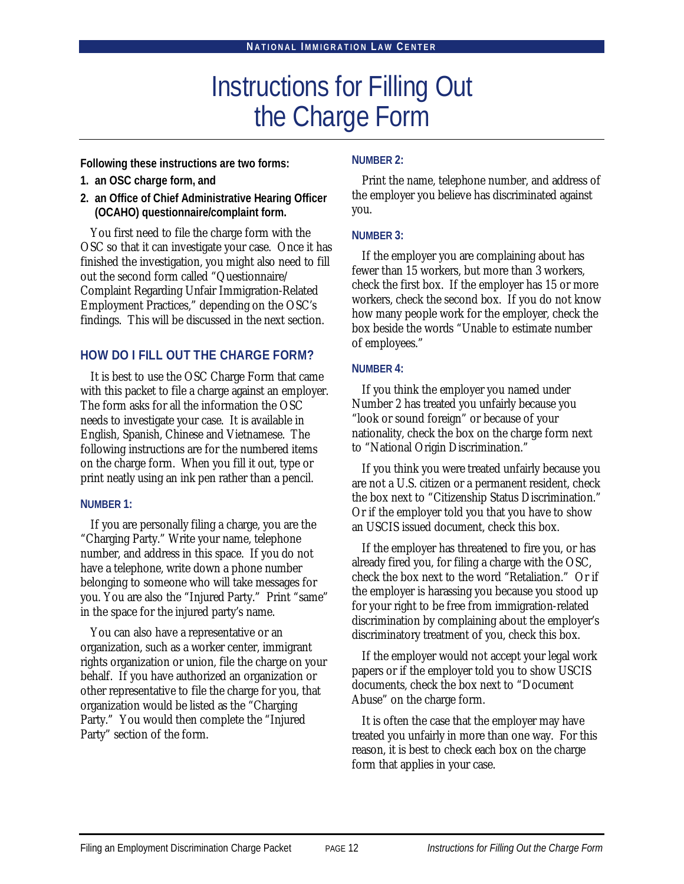# Instructions for Filling Out the Charge Form

**Following these instructions are two forms:**

- **1. an OSC charge form, and**
- **2. an Office of Chief Administrative Hearing Officer (OCAHO) questionnaire/complaint form.**

You first need to file the charge form with the OSC so that it can investigate your case. Once it has finished the investigation, you might also need to fill out the second form called "Questionnaire/ Complaint Regarding Unfair Immigration-Related Employment Practices," depending on the OSC's findings. This will be discussed in the next section.

### **HOW DO I FILL OUT THE CHARGE FORM?**

It is best to use the OSC Charge Form that came with this packet to file a charge against an employer. The form asks for all the information the OSC needs to investigate your case. It is available in English, Spanish, Chinese and Vietnamese. The following instructions are for the numbered items on the charge form. When you fill it out, type or print neatly using an ink pen rather than a pencil.

### **NUMBER 1:**

If you are personally filing a charge, you are the "Charging Party." Write your name, telephone number, and address in this space. If you do not have a telephone, write down a phone number belonging to someone who will take messages for you. You are also the "Injured Party." Print "same" in the space for the injured party's name.

You can also have a representative or an organization, such as a worker center, immigrant rights organization or union, file the charge on your behalf. If you have authorized an organization or other representative to file the charge for you, that organization would be listed as the "Charging Party." You would then complete the "Injured Party" section of the form.

### **NUMBER 2:**

Print the name, telephone number, and address of the employer you believe has discriminated against you.

### **NUMBER 3:**

If the employer you are complaining about has fewer than 15 workers, but more than 3 workers, check the first box. If the employer has 15 or more workers, check the second box. If you do not know how many people work for the employer, check the box beside the words "Unable to estimate number of employees."

### **NUMBER 4:**

If you think the employer you named under Number 2 has treated you unfairly because you "look or sound foreign" or because of your nationality, check the box on the charge form next to "National Origin Discrimination."

If you think you were treated unfairly because you are not a U.S. citizen or a permanent resident, check the box next to "Citizenship Status Discrimination." Or if the employer told you that you have to show an USCIS issued document, check this box.

If the employer has threatened to fire you, or has already fired you, for filing a charge with the OSC, check the box next to the word "Retaliation." Or if the employer is harassing you because you stood up for your right to be free from immigration-related discrimination by complaining about the employer's discriminatory treatment of you, check this box.

If the employer would not accept your legal work papers or if the employer told you to show USCIS documents, check the box next to "Document Abuse" on the charge form.

It is often the case that the employer may have treated you unfairly in more than one way. For this reason, it is best to check each box on the charge form that applies in your case.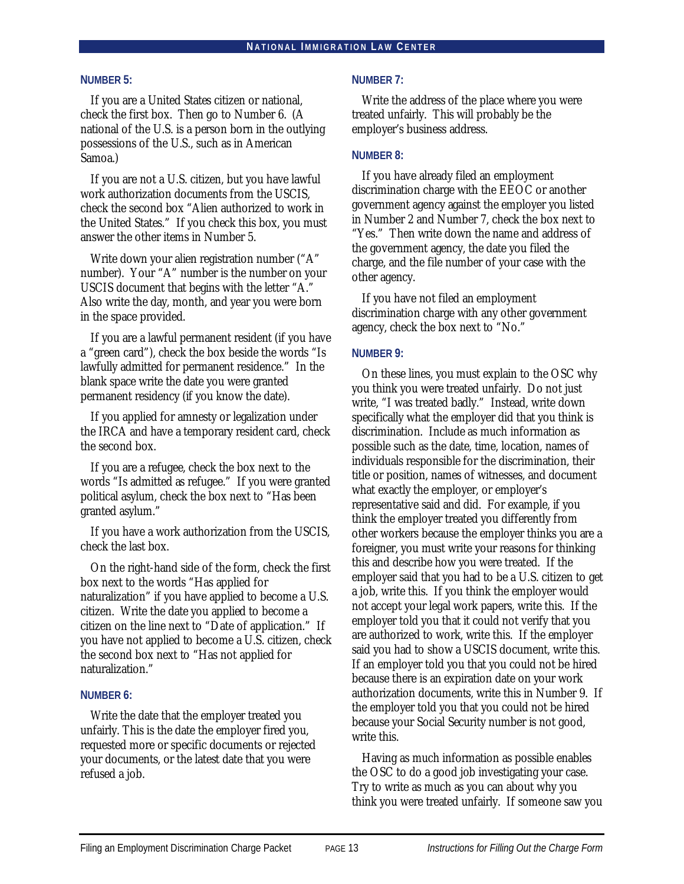### **NUMBER 5:**

If you are a United States citizen or national, check the first box. Then go to Number 6. (A national of the U.S. is a person born in the outlying possessions of the U.S., such as in American Samoa.)

If you are not a U.S. citizen, but you have lawful work authorization documents from the USCIS, check the second box "Alien authorized to work in the United States." If you check this box, you must answer the other items in Number 5.

Write down your alien registration number ("A" number). Your "A" number is the number on your USCIS document that begins with the letter "A." Also write the day, month, and year you were born in the space provided.

If you are a lawful permanent resident (if you have a "green card"), check the box beside the words "Is lawfully admitted for permanent residence." In the blank space write the date you were granted permanent residency (if you know the date).

If you applied for amnesty or legalization under the IRCA and have a temporary resident card, check the second box.

If you are a refugee, check the box next to the words "Is admitted as refugee." If you were granted political asylum, check the box next to "Has been granted asylum."

If you have a work authorization from the USCIS, check the last box.

On the right-hand side of the form, check the first box next to the words "Has applied for naturalization" if you have applied to become a U.S. citizen. Write the date you applied to become a citizen on the line next to "Date of application." If you have not applied to become a U.S. citizen, check the second box next to "Has not applied for naturalization."

### **NUMBER 6:**

Write the date that the employer treated you unfairly. This is the date the employer fired you, requested more or specific documents or rejected your documents, or the latest date that you were refused a job.

### **NUMBER 7:**

Write the address of the place where you were treated unfairly. This will probably be the employer's business address.

#### **NUMBER 8:**

If you have already filed an employment discrimination charge with the EEOC or another government agency against the employer you listed in Number 2 and Number 7, check the box next to "Yes." Then write down the name and address of the government agency, the date you filed the charge, and the file number of your case with the other agency.

If you have not filed an employment discrimination charge with any other government agency, check the box next to "No."

### **NUMBER 9:**

On these lines, you must explain to the OSC why you think you were treated unfairly. Do not just write, "I was treated badly." Instead, write down specifically what the employer did that you think is discrimination. Include as much information as possible such as the date, time, location, names of individuals responsible for the discrimination, their title or position, names of witnesses, and document what exactly the employer, or employer's representative said and did. For example, if you think the employer treated you differently from other workers because the employer thinks you are a foreigner, you must write your reasons for thinking this and describe how you were treated. If the employer said that you had to be a U.S. citizen to get a job, write this. If you think the employer would not accept your legal work papers, write this. If the employer told you that it could not verify that you are authorized to work, write this. If the employer said you had to show a USCIS document, write this. If an employer told you that you could not be hired because there is an expiration date on your work authorization documents, write this in Number 9. If the employer told you that you could not be hired because your Social Security number is not good, write this.

Having as much information as possible enables the OSC to do a good job investigating your case. Try to write as much as you can about why you think you were treated unfairly. If someone saw you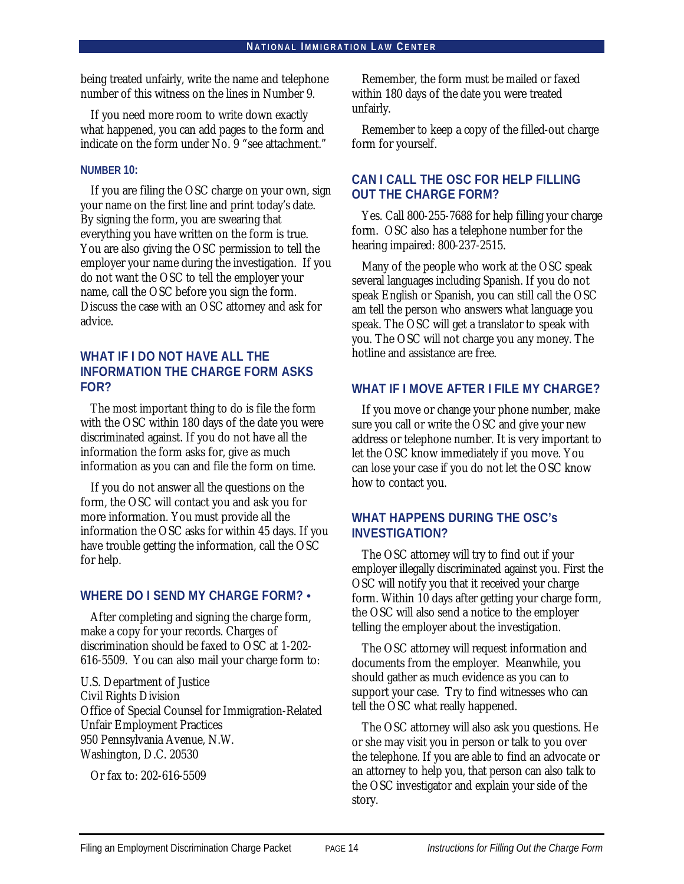being treated unfairly, write the name and telephone number of this witness on the lines in Number 9.

If you need more room to write down exactly what happened, you can add pages to the form and indicate on the form under No. 9 "see attachment."

### **NUMBER 10:**

If you are filing the OSC charge on your own, sign your name on the first line and print today's date. By signing the form, you are swearing that everything you have written on the form is true. You are also giving the OSC permission to tell the employer your name during the investigation. If you do not want the OSC to tell the employer your name, call the OSC before you sign the form. Discuss the case with an OSC attorney and ask for advice.

### **WHAT IF I DO NOT HAVE ALL THE INFORMATION THE CHARGE FORM ASKS FOR?**

The most important thing to do is file the form with the OSC within 180 days of the date you were discriminated against. If you do not have all the information the form asks for, give as much information as you can and file the form on time.

If you do not answer all the questions on the form, the OSC will contact you and ask you for more information. You must provide all the information the OSC asks for within 45 days. If you have trouble getting the information, call the OSC for help.

### **WHERE DO I SEND MY CHARGE FORM? •**

After completing and signing the charge form, make a copy for your records. Charges of discrimination should be faxed to OSC at 1-202- 616-5509. You can also mail your charge form to:

U.S. Department of Justice Civil Rights Division Office of Special Counsel for Immigration-Related Unfair Employment Practices 950 Pennsylvania Avenue, N.W. Washington, D.C. 20530

Or fax to: 202-616-5509

Remember, the form must be mailed or faxed within 180 days of the date you were treated unfairly.

Remember to keep a copy of the filled-out charge form for yourself.

### **CAN I CALL THE OSC FOR HELP FILLING OUT THE CHARGE FORM?**

Yes. Call 800-255-7688 for help filling your charge form. OSC also has a telephone number for the hearing impaired: 800-237-2515.

Many of the people who work at the OSC speak several languages including Spanish. If you do not speak English or Spanish, you can still call the OSC am tell the person who answers what language you speak. The OSC will get a translator to speak with you. The OSC will not charge you any money. The hotline and assistance are free.

### **WHAT IF I MOVE AFTER I FILE MY CHARGE?**

If you move or change your phone number, make sure you call or write the OSC and give your new address or telephone number. It is very important to let the OSC know immediately if you move. You can lose your case if you do not let the OSC know how to contact you.

### **WHAT HAPPENS DURING THE OSC's INVESTIGATION?**

The OSC attorney will try to find out if your employer illegally discriminated against you. First the OSC will notify you that it received your charge form. Within 10 days after getting your charge form, the OSC will also send a notice to the employer telling the employer about the investigation.

The OSC attorney will request information and documents from the employer. Meanwhile, you should gather as much evidence as you can to support your case. Try to find witnesses who can tell the OSC what really happened.

The OSC attorney will also ask you questions. He or she may visit you in person or talk to you over the telephone. If you are able to find an advocate or an attorney to help you, that person can also talk to the OSC investigator and explain your side of the story.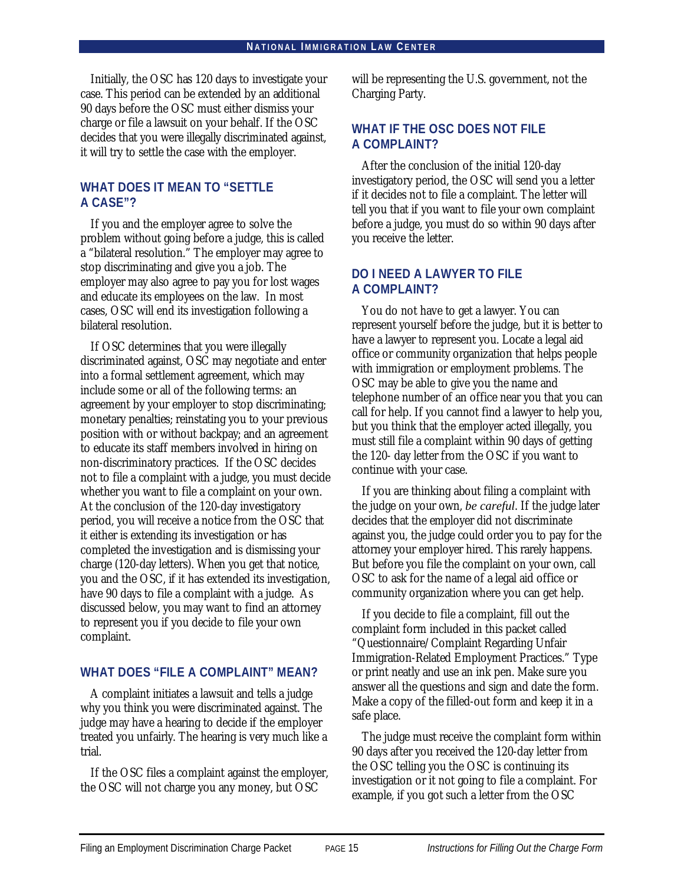Initially, the OSC has 120 days to investigate your case. This period can be extended by an additional 90 days before the OSC must either dismiss your charge or file a lawsuit on your behalf. If the OSC decides that you were illegally discriminated against, it will try to settle the case with the employer.

### **WHAT DOES IT MEAN TO "SETTLE A CASE"?**

If you and the employer agree to solve the problem without going before a judge, this is called a "bilateral resolution." The employer may agree to stop discriminating and give you a job. The employer may also agree to pay you for lost wages and educate its employees on the law. In most cases, OSC will end its investigation following a bilateral resolution.

If OSC determines that you were illegally discriminated against, OSC may negotiate and enter into a formal settlement agreement, which may include some or all of the following terms: an agreement by your employer to stop discriminating; monetary penalties; reinstating you to your previous position with or without backpay; and an agreement to educate its staff members involved in hiring on non-discriminatory practices. If the OSC decides not to file a complaint with a judge, you must decide whether you want to file a complaint on your own. At the conclusion of the 120-day investigatory period, you will receive a notice from the OSC that it either is extending its investigation or has completed the investigation and is dismissing your charge (120-day letters). When you get that notice, you and the OSC, if it has extended its investigation, have 90 days to file a complaint with a judge. As discussed below, you may want to find an attorney to represent you if you decide to file your own complaint.

### **WHAT DOES "FILE A COMPLAINT" MEAN?**

A complaint initiates a lawsuit and tells a judge why you think you were discriminated against. The judge may have a hearing to decide if the employer treated you unfairly. The hearing is very much like a trial.

If the OSC files a complaint against the employer, the OSC will not charge you any money, but OSC

will be representing the U.S. government, not the Charging Party.

### **WHAT IF THE OSC DOES NOT FILE A COMPLAINT?**

After the conclusion of the initial 120-day investigatory period, the OSC will send you a letter if it decides not to file a complaint. The letter will tell you that if you want to file your own complaint before a judge, you must do so within 90 days after you receive the letter.

### **DO I NEED A LAWYER TO FILE A COMPLAINT?**

You do not have to get a lawyer. You can represent yourself before the judge, but it is better to have a lawyer to represent you. Locate a legal aid office or community organization that helps people with immigration or employment problems. The OSC may be able to give you the name and telephone number of an office near you that you can call for help. If you cannot find a lawyer to help you, but you think that the employer acted illegally, you must still file a complaint within 90 days of getting the 120- day letter from the OSC if you want to continue with your case.

If you are thinking about filing a complaint with the judge on your own, *be careful*. If the judge later decides that the employer did not discriminate against you, the judge could order you to pay for the attorney your employer hired. This rarely happens. But before you file the complaint on your own, call OSC to ask for the name of a legal aid office or community organization where you can get help.

If you decide to file a complaint, fill out the complaint form included in this packet called "Questionnaire/Complaint Regarding Unfair Immigration-Related Employment Practices." Type or print neatly and use an ink pen. Make sure you answer all the questions and sign and date the form. Make a copy of the filled-out form and keep it in a safe place.

The judge must receive the complaint form within 90 days after you received the 120-day letter from the OSC telling you the OSC is continuing its investigation or it not going to file a complaint. For example, if you got such a letter from the OSC